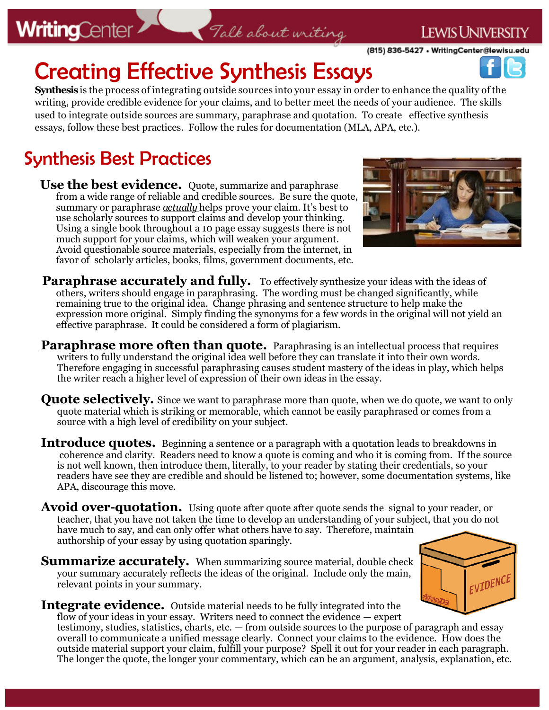# **WritingCenter**

Creating Effective Synthesis Essays

**Synthesis** is the process of integrating outside sources into your essay in order to enhance the quality of the writing, provide credible evidence for your claims, and to better meet the needs of your audience. The skills used to integrate outside sources are summary, paraphrase and quotation. To create effective synthesis essays, follow these best practices. Follow the rules for documentation (MLA, APA, etc.).

Talk about writing

# Synthesis Best Practices

**Use the best evidence.** Quote, summarize and paraphrase from a wide range of reliable and credible sources. Be sure the quote, summary or paraphrase *actually* helps prove your claim. It's best to use scholarly sources to support claims and develop your thinking. Using a single book throughout a 10 page essay suggests there is not much support for your claims, which will weaken your argument. Avoid questionable source materials, especially from the internet, in favor of scholarly articles, books, films, government documents, etc.

Paraphrase accurately and fully. To effectively synthesize your ideas with the ideas of others, writers should engage in paraphrasing. The wording must be changed significantly, while remaining true to the original idea. Change phrasing and sentence structure to help make the expression more original. Simply finding the synonyms for a few words in the original will not yield an effective paraphrase. It could be considered a form of plagiarism.

- **Paraphrase more often than quote.** Paraphrasing is an intellectual process that requires writers to fully understand the original idea well before they can translate it into their own words. Therefore engaging in successful paraphrasing causes student mastery of the ideas in play, which helps the writer reach a higher level of expression of their own ideas in the essay.
- **Quote selectively.** Since we want to paraphrase more than quote, when we do quote, we want to only quote material which is striking or memorable, which cannot be easily paraphrased or comes from a source with a high level of credibility on your subject.
- **Introduce quotes.** Beginning a sentence or a paragraph with a quotation leads to breakdowns in coherence and clarity. Readers need to know a quote is coming and who it is coming from. If the source is not well known, then introduce them, literally, to your reader by stating their credentials, so your readers have see they are credible and should be listened to; however, some documentation systems, like APA, discourage this move.
- **Avoid over-quotation.** Using quote after quote after quote sends the signal to your reader, or teacher, that you have not taken the time to develop an understanding of your subject, that you do not have much to say, and can only offer what others have to say. Therefore, maintain authorship of your essay by using quotation sparingly.
- **Summarize accurately.** When summarizing source material, double check your summary accurately reflects the ideas of the original. Include only the main, relevant points in your summary.
- **Integrate evidence.** Outside material needs to be fully integrated into the flow of your ideas in your essay. Writers need to connect the evidence — expert testimony, studies, statistics, charts, etc. — from outside sources to the purpose of paragraph and essay

overall to communicate a unified message clearly. Connect your claims to the evidence. How does the outside material support your claim, fulfill your purpose? Spell it out for your reader in each paragraph. The longer the quote, the longer your commentary, which can be an argument, analysis, explanation, etc.





EVIDENCE

### **LEWIS UNIVERSITY**

(815) 836-5427 . WritingCenter@lewisu.edu